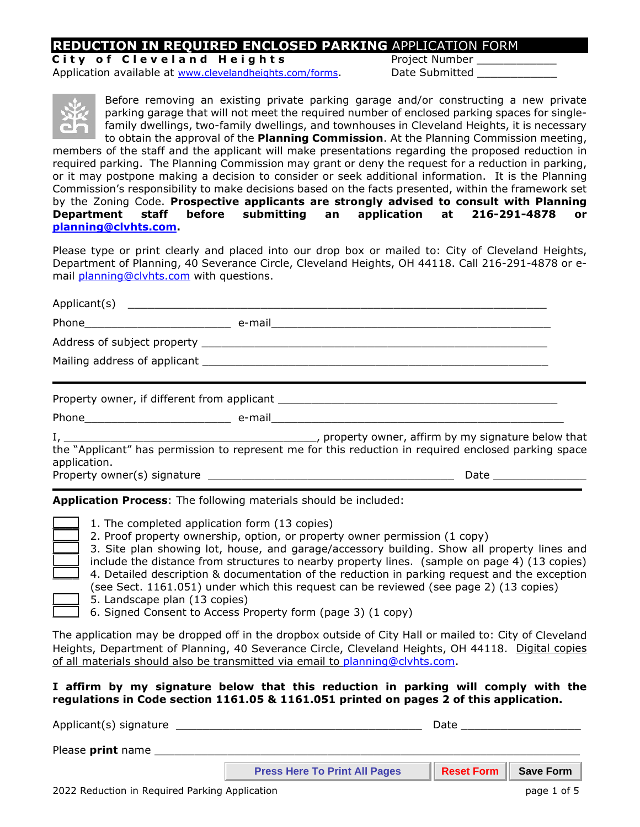# **REDUCTION IN REQUIRED ENCLOSED PARKING** APPLICATION FORM

**City of Cleveland Heights** Project Number Application available at [www.clevelandheights.com/forms.](http://www.clevelandheights.com/forms) Date Submitted



Before removing an existing private parking garage and/or constructing a new private parking garage that will not meet the required number of enclosed parking spaces for singlefamily dwellings, two-family dwellings, and townhouses in Cleveland Heights, it is necessary to obtain the approval of the **Planning Commission**. At the Planning Commission meeting,

members of the staff and the applicant will make presentations regarding the proposed reduction in required parking. The Planning Commission may grant or deny the request for a reduction in parking, or it may postpone making a decision to consider or seek additional information. It is the Planning Commission's responsibility to make decisions based on the facts presented, within the framework set by the Zoning Code. **Prospective applicants are strongly advised to consult with Planning Department staff before submitting an application at 216-291-4878 or [planning@clvhts.com.](mailto:planning@clvhts.com)** 

Please type or print clearly and placed into our drop box or mailed to: City of Cleveland Heights, Department of Planning, 40 Severance Circle, Cleveland Heights, OH 44118. Call 216-291-4878 or email **[planning@clvhts.com](mailto:planning@clvhts.com)** with questions.

| application. |  | the "Applicant" has permission to represent me for this reduction in required enclosed parking space |  |  |  |
|--------------|--|------------------------------------------------------------------------------------------------------|--|--|--|
|              |  |                                                                                                      |  |  |  |
|              |  |                                                                                                      |  |  |  |

**Application Process**: The following materials should be included:

- 1. The completed application form (13 copies)
- \_\_\_\_ 2. Proof property ownership, option, or property owner permission (1 copy)
- 3. Site plan showing lot, house, and garage/accessory building. Show all property lines and include the distance from structures to nearby property lines. (sample on page 4) (13 copies)
- 4. Detailed description & documentation of the reduction in parking request and the exception (see Sect. 1161.051) under which this request can be reviewed (see page 2) (13 copies)
- \_\_\_\_ 5. Landscape plan (13 copies)
- \_\_\_\_ 6. Signed Consent to Access Property form (page 3) (1 copy)

The application may be dropped off in the dropbox outside of City Hall or mailed to: City of Cleveland Heights, Department of Planning, 40 Severance Circle, Cleveland Heights, OH 44118. Digital copies of all materials should also be transmitted via email to [planning@clvhts.com.](mailto:planning@clvhts.com)

**I affirm by my signature below that this reduction in parking will comply with the regulations in Code section 1161.05 & 1161.051 printed on pages 2 of this application.** 

Applicant(s) signature \_\_\_\_\_\_\_\_\_\_\_\_\_\_\_\_\_\_\_\_\_\_\_\_\_\_\_\_\_\_\_\_\_\_\_\_\_ Date \_\_\_\_\_\_\_\_\_\_\_\_\_\_\_\_\_\_

Please print name

**Press Here To Print All Pages | Reset Form | Save Form**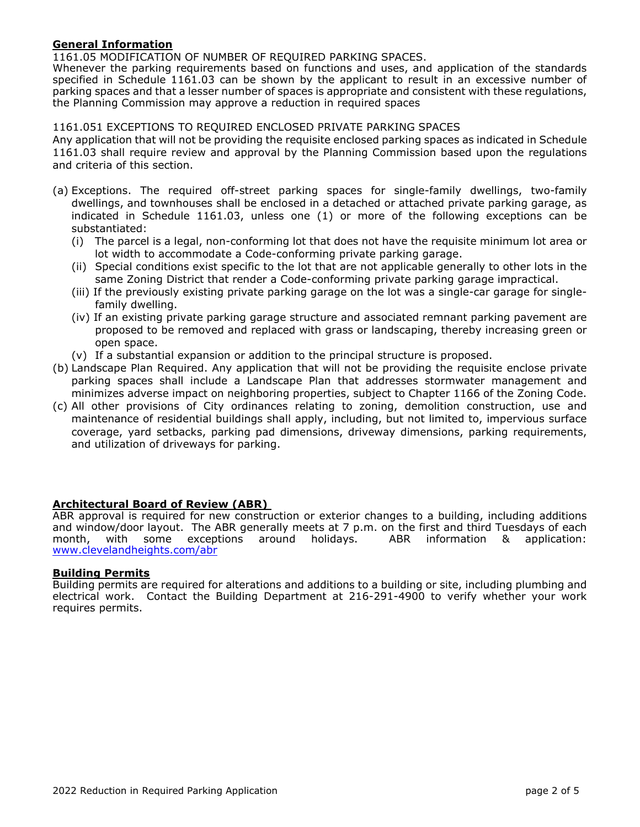### **General Information**

1161.05 MODIFICATION OF NUMBER OF REQUIRED PARKING SPACES.

Whenever the parking requirements based on functions and uses, and application of the standards specified in Schedule 1161.03 can be shown by the applicant to result in an excessive number of parking spaces and that a lesser number of spaces is appropriate and consistent with these regulations, the Planning Commission may approve a reduction in required spaces

#### 1161.051 EXCEPTIONS TO REQUIRED ENCLOSED PRIVATE PARKING SPACES

Any application that will not be providing the requisite enclosed parking spaces as indicated in Schedule 1161.03 shall require review and approval by the Planning Commission based upon the regulations and criteria of this section.

- (a) Exceptions. The required off-street parking spaces for single-family dwellings, two-family dwellings, and townhouses shall be enclosed in a detached or attached private parking garage, as indicated in Schedule 1161.03, unless one (1) or more of the following exceptions can be substantiated:
	- (i) The parcel is a legal, non-conforming lot that does not have the requisite minimum lot area or lot width to accommodate a Code-conforming private parking garage.
	- (ii) Special conditions exist specific to the lot that are not applicable generally to other lots in the same Zoning District that render a Code-conforming private parking garage impractical.
	- (iii) If the previously existing private parking garage on the lot was a single-car garage for singlefamily dwelling.
	- (iv) If an existing private parking garage structure and associated remnant parking pavement are proposed to be removed and replaced with grass or landscaping, thereby increasing green or open space.
	- (v) If a substantial expansion or addition to the principal structure is proposed.
- (b) Landscape Plan Required. Any application that will not be providing the requisite enclose private parking spaces shall include a Landscape Plan that addresses stormwater management and minimizes adverse impact on neighboring properties, subject to Chapter 1166 of the Zoning Code.
- (c) All other provisions of City ordinances relating to zoning, demolition construction, use and maintenance of residential buildings shall apply, including, but not limited to, impervious surface coverage, yard setbacks, parking pad dimensions, driveway dimensions, parking requirements, and utilization of driveways for parking.

# **Architectural Board of Review (ABR)**

ABR approval is required for new construction or exterior changes to a building, including additions and window/door layout. The ABR generally meets at 7 p.m. on the first and third Tuesdays of each month, with some exceptions around holidays. ABR information & application: month, with some exceptions around holidays. [www.clevelandheights.com/abr](http://www.clevelandheights.com/abr)

#### **Building Permits**

Building permits are required for alterations and additions to a building or site, including plumbing and electrical work. Contact the Building Department at 216-291-4900 to verify whether your work requires permits.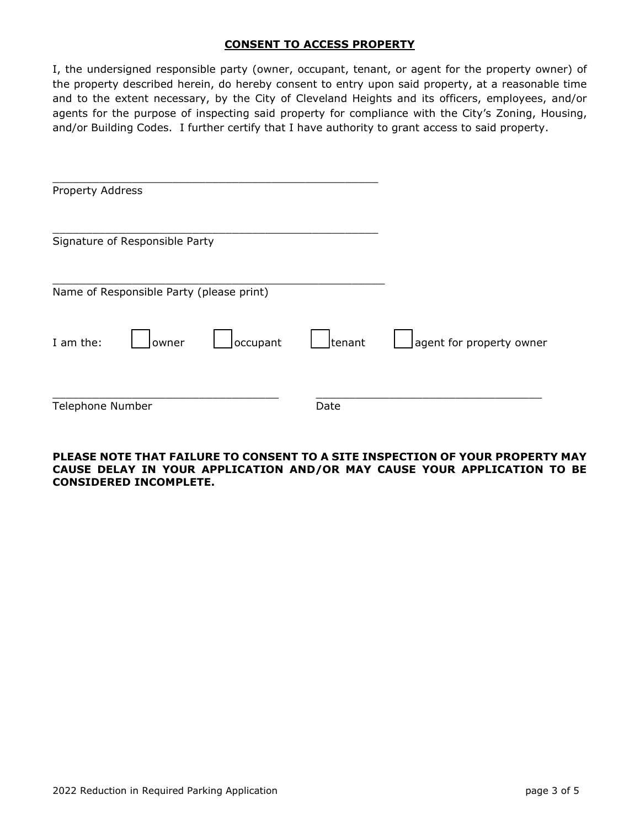# **CONSENT TO ACCESS PROPERTY**

I, the undersigned responsible party (owner, occupant, tenant, or agent for the property owner) of the property described herein, do hereby consent to entry upon said property, at a reasonable time and to the extent necessary, by the City of Cleveland Heights and its officers, employees, and/or agents for the purpose of inspecting said property for compliance with the City's Zoning, Housing, and/or Building Codes. I further certify that I have authority to grant access to said property.

| Property Address |                                          |          |        |                          |
|------------------|------------------------------------------|----------|--------|--------------------------|
|                  | Signature of Responsible Party           |          |        |                          |
|                  | Name of Responsible Party (please print) |          |        |                          |
| I am the:        | owner                                    | occupant | tenant | agent for property owner |
| Telephone Number |                                          |          | Date   |                          |

# **PLEASE NOTE THAT FAILURE TO CONSENT TO A SITE INSPECTION OF YOUR PROPERTY MAY CAUSE DELAY IN YOUR APPLICATION AND/OR MAY CAUSE YOUR APPLICATION TO BE CONSIDERED INCOMPLETE.**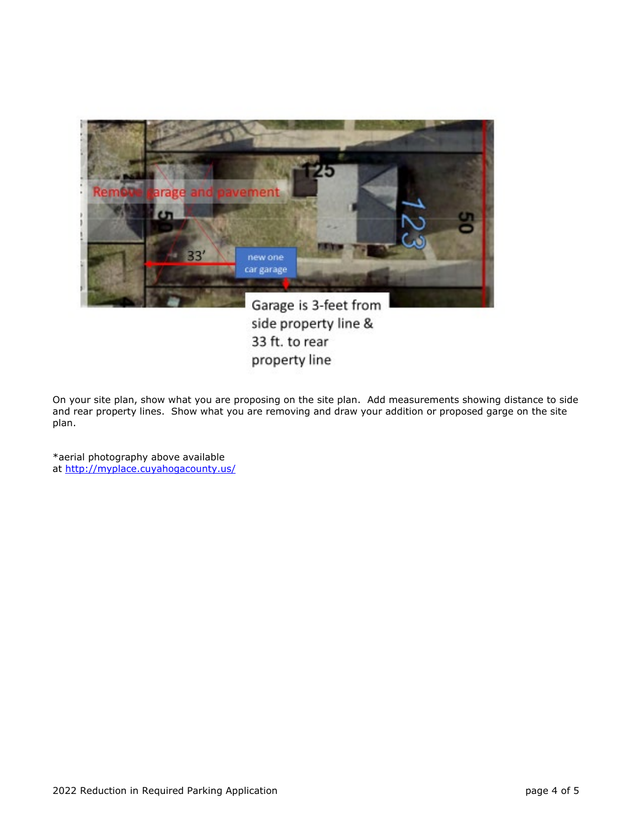

33 ft. to rear property line

On your site plan, show what you are proposing on the site plan. Add measurements showing distance to side and rear property lines. Show what you are removing and draw your addition or proposed garge on the site plan.

\*aerial photography above available at<http://myplace.cuyahogacounty.us/>